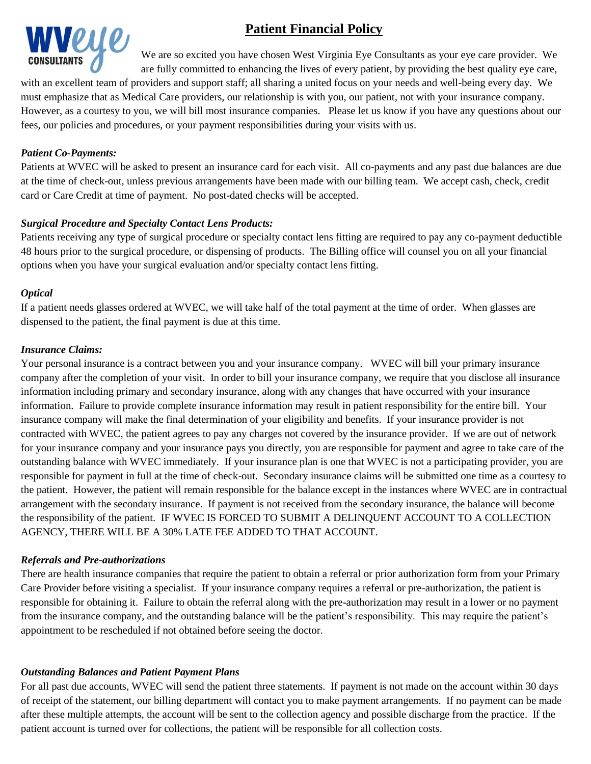

# **Patient Financial Policy**

We are so excited you have chosen West Virginia Eye Consultants as your eye care provider. We are fully committed to enhancing the lives of every patient, by providing the best quality eye care,

[with an excellent team of p](https://www.google.com/url?sa=i&rct=j&q=&esrc=s&source=images&cd=&cad=rja&uact=8&ved=0ahUKEwiim7nq9I3UAhWGthoKHS9lCCIQjRwIBw&url=https://www.yelp.com/biz/west-virginia-eye-consultants-charleston&psig=AFQjCNGgPaGSWTkHLA_4eJe2tiXKxhUd1g&ust=1495900249651510)roviders and support staff; all sharing a united focus on your needs and well-being every day. We must emphasize that as Medical Care providers, our relationship is with you, our patient, not with your insurance company. However, as a courtesy to you, we will bill most insurance companies. Please let us know if you have any questions about our fees, our policies and procedures, or your payment responsibilities during your visits with us.

# *Patient Co-Payments:*

Patients at WVEC will be asked to present an insurance card for each visit. All co-payments and any past due balances are due at the time of check-out, unless previous arrangements have been made with our billing team. We accept cash, check, credit card or Care Credit at time of payment. No post-dated checks will be accepted.

# *Surgical Procedure and Specialty Contact Lens Products:*

Patients receiving any type of surgical procedure or specialty contact lens fitting are required to pay any co-payment deductible 48 hours prior to the surgical procedure, or dispensing of products. The Billing office will counsel you on all your financial options when you have your surgical evaluation and/or specialty contact lens fitting.

#### *Optical*

If a patient needs glasses ordered at WVEC, we will take half of the total payment at the time of order. When glasses are dispensed to the patient, the final payment is due at this time.

# *Insurance Claims:*

Your personal insurance is a contract between you and your insurance company. WVEC will bill your primary insurance company after the completion of your visit. In order to bill your insurance company, we require that you disclose all insurance information including primary and secondary insurance, along with any changes that have occurred with your insurance information. Failure to provide complete insurance information may result in patient responsibility for the entire bill. Your insurance company will make the final determination of your eligibility and benefits. If your insurance provider is not contracted with WVEC, the patient agrees to pay any charges not covered by the insurance provider. If we are out of network for your insurance company and your insurance pays you directly, you are responsible for payment and agree to take care of the outstanding balance with WVEC immediately. If your insurance plan is one that WVEC is not a participating provider, you are responsible for payment in full at the time of check-out. Secondary insurance claims will be submitted one time as a courtesy to the patient. However, the patient will remain responsible for the balance except in the instances where WVEC are in contractual arrangement with the secondary insurance. If payment is not received from the secondary insurance, the balance will become the responsibility of the patient. IF WVEC IS FORCED TO SUBMIT A DELINQUENT ACCOUNT TO A COLLECTION AGENCY, THERE WILL BE A 30% LATE FEE ADDED TO THAT ACCOUNT.

# *Referrals and Pre-authorizations*

There are health insurance companies that require the patient to obtain a referral or prior authorization form from your Primary Care Provider before visiting a specialist. If your insurance company requires a referral or pre-authorization, the patient is responsible for obtaining it. Failure to obtain the referral along with the pre-authorization may result in a lower or no payment from the insurance company, and the outstanding balance will be the patient's responsibility. This may require the patient's appointment to be rescheduled if not obtained before seeing the doctor.

# *Outstanding Balances and Patient Payment Plans*

For all past due accounts, WVEC will send the patient three statements. If payment is not made on the account within 30 days of receipt of the statement, our billing department will contact you to make payment arrangements. If no payment can be made after these multiple attempts, the account will be sent to the collection agency and possible discharge from the practice. If the patient account is turned over for collections, the patient will be responsible for all collection costs.